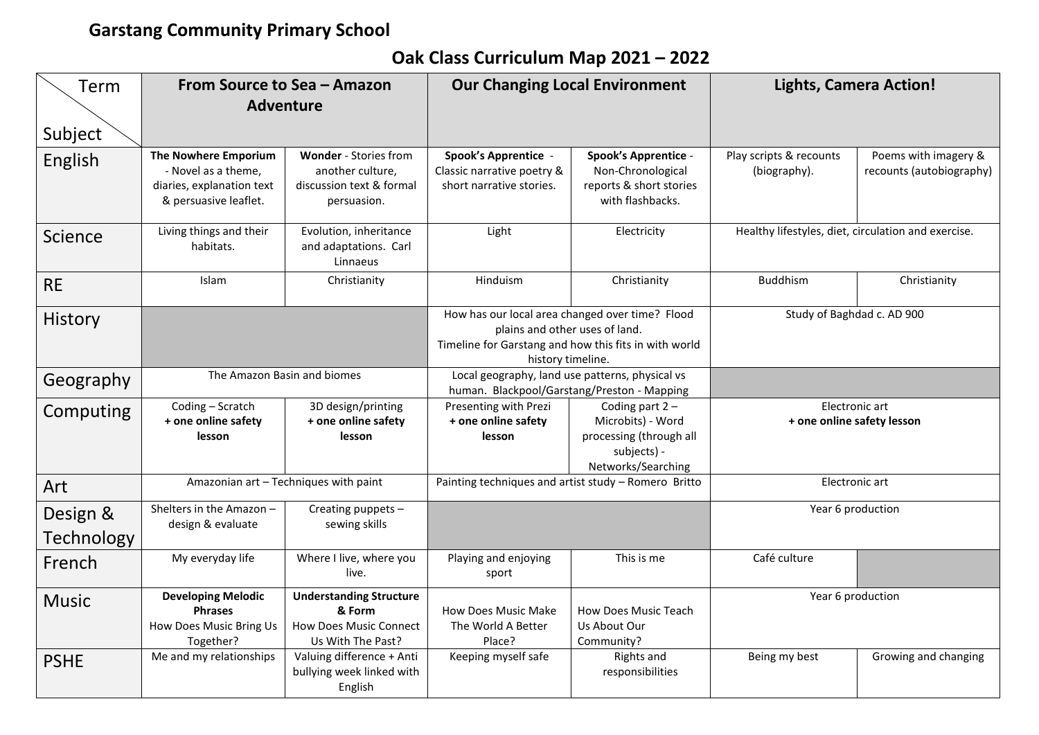## **Garstang Community Primary School**

## **Oak Class Curriculum Map 2021 – 2022**

| Term                   | From Source to Sea - Amazon<br><b>Adventure</b>                                                          |                                                                                                | <b>Our Changing Local Environment</b>                                                                                                                           |                                                                                                        | <b>Lights, Camera Action!</b>                       |                                                  |  |
|------------------------|----------------------------------------------------------------------------------------------------------|------------------------------------------------------------------------------------------------|-----------------------------------------------------------------------------------------------------------------------------------------------------------------|--------------------------------------------------------------------------------------------------------|-----------------------------------------------------|--------------------------------------------------|--|
| Subject                |                                                                                                          |                                                                                                |                                                                                                                                                                 |                                                                                                        |                                                     |                                                  |  |
| English                | <b>The Nowhere Emporium</b><br>- Novel as a theme,<br>diaries, explanation text<br>& persuasive leaflet. | Wonder - Stories from<br>another culture,<br>discussion text & formal<br>persuasion.           | Spook's Apprentice -<br>Classic narrative poetry &<br>short narrative stories.                                                                                  | <b>Spook's Apprentice -</b><br>Non-Chronological<br>reports & short stories<br>with flashbacks.        | Play scripts & recounts<br>(biography).             | Poems with imagery &<br>recounts (autobiography) |  |
| Science                | Living things and their<br>Evolution, inheritance<br>habitats.<br>and adaptations. Carl<br>Linnaeus      |                                                                                                | Light                                                                                                                                                           | Electricity                                                                                            | Healthy lifestyles, diet, circulation and exercise. |                                                  |  |
| <b>RE</b>              | Islam                                                                                                    | Christianity                                                                                   | Hinduism                                                                                                                                                        | Christianity                                                                                           | <b>Buddhism</b>                                     | Christianity                                     |  |
| History                |                                                                                                          |                                                                                                | How has our local area changed over time? Flood<br>plains and other uses of land.<br>Timeline for Garstang and how this fits in with world<br>history timeline. |                                                                                                        | Study of Baghdad c. AD 900                          |                                                  |  |
| Geography              |                                                                                                          | The Amazon Basin and biomes                                                                    | Local geography, land use patterns, physical vs<br>human. Blackpool/Garstang/Preston - Mapping                                                                  |                                                                                                        |                                                     |                                                  |  |
| Computing              | Coding - Scratch<br>3D design/printing<br>+ one online safety<br>+ one online safety<br>lesson<br>lesson |                                                                                                | Presenting with Prezi<br>+ one online safety<br>lesson                                                                                                          | Coding part $2 -$<br>Microbits) - Word<br>processing (through all<br>subjects) -<br>Networks/Searching | Electronic art<br>+ one online safety lesson        |                                                  |  |
| Art                    |                                                                                                          | Amazonian art - Techniques with paint                                                          | Painting techniques and artist study - Romero Britto                                                                                                            |                                                                                                        | Electronic art                                      |                                                  |  |
| Design &<br>Technology | Shelters in the Amazon -<br>design & evaluate                                                            | Creating puppets -<br>sewing skills                                                            |                                                                                                                                                                 |                                                                                                        | Year 6 production                                   |                                                  |  |
| French                 | My everyday life                                                                                         | Where I live, where you<br>live.                                                               | Playing and enjoying<br>sport                                                                                                                                   | This is me                                                                                             | Café culture                                        |                                                  |  |
| <b>Music</b>           | <b>Developing Melodic</b><br><b>Phrases</b><br>How Does Music Bring Us<br>Together?                      | <b>Understanding Structure</b><br>& Form<br><b>How Does Music Connect</b><br>Us With The Past? | <b>How Does Music Make</b><br>The World A Better<br>Place?                                                                                                      | <b>How Does Music Teach</b><br>Us About Our<br>Community?                                              | Year 6 production                                   |                                                  |  |
| <b>PSHE</b>            | Me and my relationships                                                                                  | Valuing difference + Anti<br>bullying week linked with<br>English                              | Keeping myself safe                                                                                                                                             | Rights and<br>responsibilities                                                                         | Being my best                                       | Growing and changing                             |  |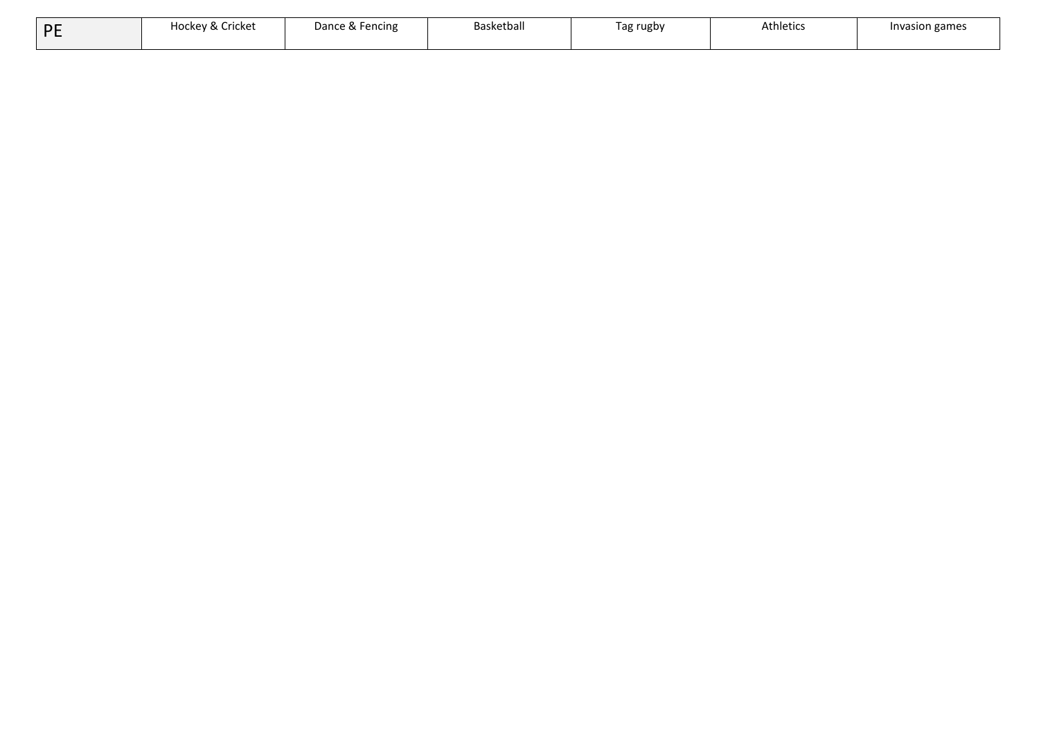| DE | Hockey & Cricket | Dance & Fencing | Basketball | Tag rugby | <b>Athletics</b> | Invasion games |
|----|------------------|-----------------|------------|-----------|------------------|----------------|
|    |                  |                 |            |           |                  |                |